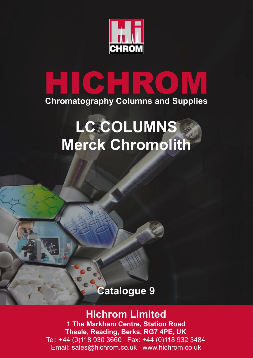

# **HICHROM Chromatography Columns and Supplies**

# **LC COLUMNS Merck Chromolith**

# **Catalogue 9**

## **Hichrom Limited**

**1 The Markham Centre, Station Road Theale, Reading, Berks, RG7 4PE, UK** Tel: +44 (0)118 930 3660 Fax: +44 (0)118 932 3484 Email: sales@hichrom.co.uk www.hichrom.co.uk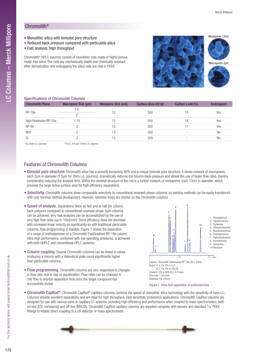## Chromolith®

- Monolithic silica with bimodal pore structure
- Reduced back pressure compared with particulate silica
- Fast analysis, high throughput

Chromolith® HPLC columns consist of monolithic rods made of highly porous metal-free silica. The rods are mechanically stable and chemically resistant. After derivatization and endcapping the silica rods are clad in PEEK.



#### Specifications of Chromolith Columns

| <b>Chromolith Phase</b> | Macropore Size (µm)         | Mesopore Size (nm) | Surface Area $(m^2/g)$ | Carbon Load (%)          | <b>Endcapped</b> |  |
|-------------------------|-----------------------------|--------------------|------------------------|--------------------------|------------------|--|
| $RP-18e$                | $1.5^{1}$<br>2 <sup>2</sup> | 13                 | 300                    | 18                       | Yes              |  |
| High Resolution RP-18e  | 1.15                        | 15                 | 250                    | 18                       | Yes              |  |
| RP-8e                   |                             | 13                 | 300                    | 11                       | Yes              |  |
| NH <sub>2</sub>         | ∩                           | 13                 | 300                    | $\overline{\phantom{0}}$ | <b>No</b>        |  |
| Si                      |                             | 13                 | 300                    |                          | <b>No</b>        |  |

<sup>1</sup> For 2mm i.d. columns <sup>2</sup>

 $2$  For 3, 4.6 and 10mm i.d. columns

### Features of Chromolith Columns

- Bimodal pore structure. Chromolith silica has a porosity exceeding 80% and a unique bimodal pore structure. A dense network of macropores, each 2µm in diameter (1.5µm for 2mm i.d. columns), dramatically reduces the column back-pressure and allows the use of faster flow rates, thereby considerably reducing the analysis time. Within the skeletal structure of the rod is a further network of mesopores, each 13nm in diameter, which provides the large active surface area for high efficiency separations.
- Selectivity. Chromolith columns show comparable selectivity to conventional reversed-phase columns, so existing methods can be easily transferred with only minimal method development. However, retention times are shorter on the Chromolith columns.
- Speed of analysis. Separations twice as fast and at half the column back pressure compared to conventional reversed-phase 5µm columns, can be achieved. Very fast analyses can be accomplished by the use of very high flow rates (up to 10ml/min). Since efficiency does not decrease with increased linear velocity as significantly as with traditional particulate columns, flow programming is feasible. Figure 1 shows the separation of a range of antihistamines on a Chromolith FastGradient RP-18e column. Ultra-high performance, combined with low operating pressures, is achieved with both UHPLC and conventional HPLC systems.
- Column coupling. Several Chromolith columns can be linked in series producing a column with a theoretical plate count significantly higher than particulate columns.
- Flow programming. Chromolith columns are very responsive to changes in flow rate, due to fast re-equilibration. Flow rates can be changed in mid flow to shorten separation time once the target compound has successfully eluted.



Figure 1. Ultra-fast separation of antihistamines

• Chromolith CapRod®. Chromolith CapRod® capillary columns combine the speed of monolithic silica technology with the sensitivity of nano LC. Columns provide excellent separations and are ideal for high throughput, high sensitivity proteomics applications. Chromolith CapRod columns are designed for use with various nano or capillary LC systems, providing high efficiency and performance when coupled to mass spectrometers, both on-line (ESI, nanospray) and off-line (MALDI). Chromolith CapRod capillary columns are supplied complete with sleeves and standard 1/16<sup>°</sup> PEEK fittings to enable direct coupling to a UV detector or mass spectrometer.



**Por**